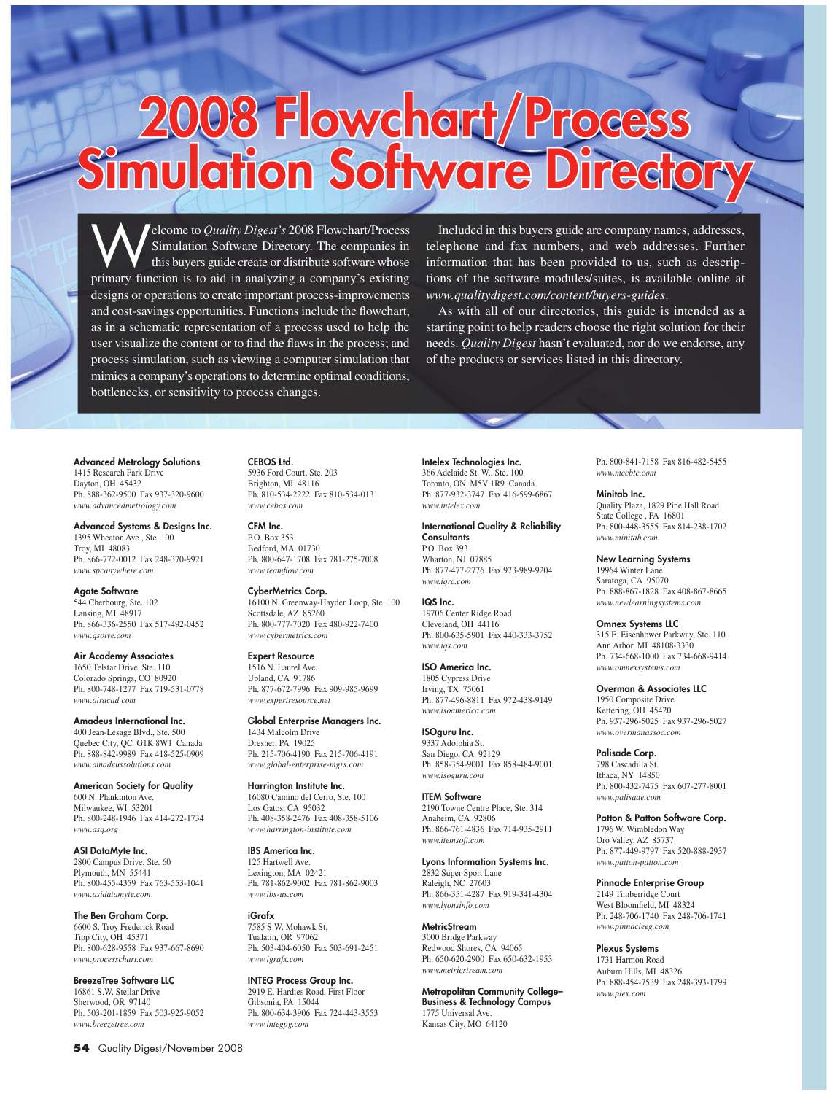# **2008 Flowchart/Process<br>Simulation Software Directory**

**Welcome to** *Quality Digest's* 2008 Flowchart/Process<br>this buyers guide create or distribute software whose<br>primary function is to aid in analyzing a company's existing Simulation Software Directory. The companies in this buyers guide create or distribute software whose primary function is to aid in analyzing a company's existing designs or operations to create important process-improvements and cost-savings opportunities. Functions include the flowchart, as in a schematic representation of a process used to help the user visualize the content or to find the flaws in the process; and process simulation, such as viewing a computer simulation that mimics a company's operations to determine optimal conditions, bottlenecks, or sensitivity to process changes.

Included in this buyers guide are company names, addresses, telephone and fax numbers, and web addresses. Further information that has been provided to us, such as descriptions of the software modules/suites, is available online at *www.qualitydigest.com/content/buyers-guides*.

As with all of our directories, this guide is intended as a starting point to help readers choose the right solution for their needs. *Quality Digest* hasn't evaluated, nor do we endorse, any of the products or services listed in this directory.

# Advanced Metrology Solutions

1415 Research Park Drive Dayton, OH 45432 Ph. 888-362-9500 Fax 937-320-9600 *www.advancedmetrology.com*

#### Advanced Systems & Designs Inc. 1395 Wheaton Ave., Ste. 100

Troy, MI 48083 Ph. 866-772-0012 Fax 248-370-9921 *www.spcanywhere.com*

Agate Software 544 Cherbourg, Ste. 102 Lansing, MI 48917 Ph. 866-336-2550 Fax 517-492-0452 *www.qsolve.com*

Air Academy Associates 1650 Telstar Drive, Ste. 110 Colorado Springs, CO 80920 Ph. 800-748-1277 Fax 719-531-0778 *www.airacad.com*

Amadeus International Inc. 400 Jean-Lesage Blvd., Ste. 500 Quebec City, QC G1K 8W1 Canada Ph. 888-842-9989 Fax 418-525-0909 *www.amadeussolutions.com*

American Society for Quality 600 N. Plankinton Ave. Milwaukee, WI 53201 Ph. 800-248-1946 Fax 414-272-1734 *www.asq.org*

ASI DataMyte Inc. 2800 Campus Drive, Ste. 60 Plymouth, MN 55441 Ph. 800-455-4359 Fax 763-553-1041 *www.asidatamyte.com*

The Ben Graham Corp. 6600 S. Troy Frederick Road Tipp City, OH 45371 Ph. 800-628-9558 Fax 937-667-8690 *www.processchart.com*

BreezeTree Software LLC 16861 S.W. Stellar Drive Sherwood, OR 97140 Ph. 503-201-1859 Fax 503-925-9052 *www.breezetree.com*

P.O. Box 353 Bedford, MA 01730 Ph. 800-647-1708 Fax 781-275-7008 *www.teamflow.com* CyberMetrics Corp.

CEBOS Ltd. 5936 Ford Court, Ste. 203 Brighton, MI 48116

*www.cebos.com* CFM Inc.

16100 N. Greenway-Hayden Loop, Ste. 100 Scottsdale, AZ 85260 Ph. 800-777-7020 Fax 480-922-7400 *www.cybermetrics.com*

Ph. 810-534-2222 Fax 810-534-0131

Expert Resource 1516 N. Laurel Ave. Upland, CA 91786 Ph. 877-672-7996 Fax 909-985-9699 *www.expertresource.net*

Global Enterprise Managers Inc. 1434 Malcolm Drive Dresher, PA 19025 Ph. 215-706-4190 Fax 215-706-4191 *www.global-enterprise-mgrs.com*

Harrington Institute Inc. 16080 Camino del Cerro, Ste. 100 Los Gatos, CA 95032 Ph. 408-358-2476 Fax 408-358-5106 *www.harrington-institute.com*

IBS America Inc. 125 Hartwell Ave. Lexington, MA 02421 Ph. 781-862-9002 Fax 781-862-9003 *www.ibs-us.com*

iGrafx 7585 S.W. Mohawk St. Tualatin, OR 97062 Ph. 503-404-6050 Fax 503-691-2451 *www.igrafx.com*

INTEG Process Group Inc. 2919 E. Hardies Road, First Floor Gibsonia, PA 15044 Ph. 800-634-3906 Fax 724-443-3553 *www.integpg.com*

Intelex Technologies Inc. 366 Adelaide St. W., Ste. 100

Toronto, ON M5V 1R9 Canada Ph. 877-932-3747 Fax 416-599-6867 *www.intelex.com*

# International Quality & Reliability

**Consultants** P.O. Box 393 Wharton, NJ 07885 Ph. 877-477-2776 Fax 973-989-9204 *www.iqrc.com*

### IQS Inc.

19706 Center Ridge Road Cleveland, OH 44116 Ph. 800-635-5901 Fax 440-333-3752 *www.iqs.com*

ISO America Inc. 1805 Cypress Drive Irving, TX 75061 Ph. 877-496-8811 Fax 972-438-9149 *www.isoamerica.com*

ISOguru Inc. 9337 Adolphia St. San Diego, CA 92129 Ph. 858-354-9001 Fax 858-484-9001 *www.isoguru.com*

ITEM Software 2190 Towne Centre Place, Ste. 314 Anaheim, CA 92806 Ph. 866-761-4836 Fax 714-935-2911 *www.itemsoft.com*

Lyons Information Systems Inc. 2832 Super Sport Lane Raleigh, NC 27603 Ph. 866-351-4287 Fax 919-341-4304 *www.lyonsinfo.com*

# **MetricStream**

3000 Bridge Parkway Redwood Shores, CA 94065 Ph. 650-620-2900 Fax 650-632-1953 *www.metricstream.com*

Metropolitan Community College– Business & Technology Campus 1775 Universal Ave. Kansas City, MO 64120

Ph. 800-841-7158 Fax 816-482-5455 *www.mccbtc.com*

#### Minitab Inc.

Quality Plaza, 1829 Pine Hall Road State College , PA 16801 Ph. 800-448-3555 Fax 814-238-1702 *www.minitab.com* 

#### New Learning Systems

19964 Winter Lane Saratoga, CA 95070 Ph. 888-867-1828 Fax 408-867-8665 *www.newlearningsystems.com*

#### Omnex Systems LLC

315 E. Eisenhower Parkway, Ste. 110 Ann Arbor, MI 48108-3330 Ph. 734-668-1000 Fax 734-668-9414 *www.omnexsystems.com*

### Overman & Associates LLC

1950 Composite Drive Kettering, OH 45420 Ph. 937-296-5025 Fax 937-296-5027 *www.overmanassoc.com*

#### Palisade Corp.

798 Cascadilla St. Ithaca, NY 14850 Ph. 800-432-7475 Fax 607-277-8001 *www.palisade.com*

Patton & Patton Software Corp.

1796 W. Wimbledon Way Oro Valley, AZ 85737 Ph. 877-449-9797 Fax 520-888-2937 *www.patton-patton.com*

## Pinnacle Enterprise Group

2149 Timberridge Court West Bloomfield, MI 48324 Ph. 248-706-1740 Fax 248-706-1741 *www.pinnacleeg.com*

#### Plexus Systems

1731 Harmon Road Auburn Hills, MI 48326 Ph. 888-454-7539 Fax 248-393-1799 *www.plex.com*